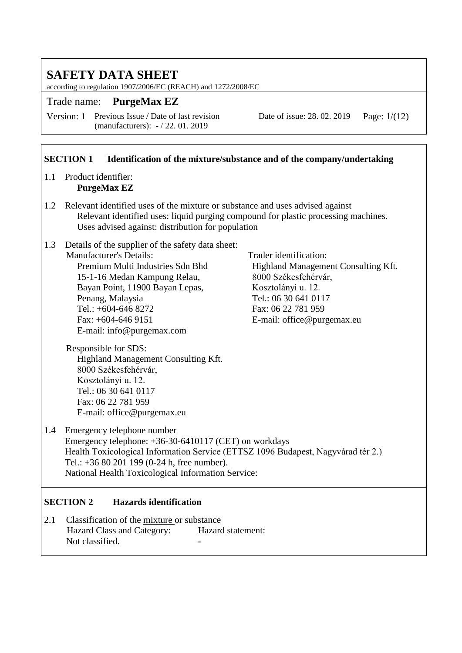according to regulation 1907/2006/EC (REACH) and 1272/2008/EC

Trade name: **PurgeMax EZ**

Version: 1 Previous Issue / Date of last revision (manufacturers): - / 22. 01. 2019

Date of issue: 28. 02. 2019 Page: 1/(12)

#### **SECTION 1** Identification of the mixture/substance and of the company/undertaking

#### 1.1 Product identifier: **PurgeMax EZ**

- 1.2 Relevant identified uses of the mixture or substance and uses advised against Relevant identified uses: liquid purging compound for plastic processing machines. Uses advised against: distribution for population
- 1.3 Details of the supplier of the safety data sheet: Manufacturer's Details: Trader identification:<br>
Premium Multi Industries Sdn Bhd
Highland Manageme 15-1-16 Medan Kampung Relau, 8000 Székesfehérvár, Bayan Point, 11900 Bayan Lepas, Kosztolányi u. 12. Penang, Malaysia Tel.: 06 30 641 0117 Tel.: +604-646 8272 Fax: 06 22 781 959 Fax: +604-646 9151 E-mail: office @ purgemax.eu E-mail: info@purgemax.com

Highland Management Consulting Kft.

Responsible for SDS: Highland Management Consulting Kft. 8000 Székesfehérvár, Kosztolányi u. 12. Tel.: 06 30 641 0117 Fax: 06 22 781 959 E-mail: office@purgemax.eu

1.4 Emergency telephone number Emergency telephone: +36-30-6410117 (CET) on workdays Health Toxicological Information Service (ETTSZ 1096 Budapest, Nagyvárad tér 2.) Tel.: +36 80 201 199 (0-24 h, free number). National Health Toxicological Information Service:

### **SECTION 2 Hazards identification**

2.1 Classification of the mixture or substance Hazard Class and Category: Hazard statement: Not classified.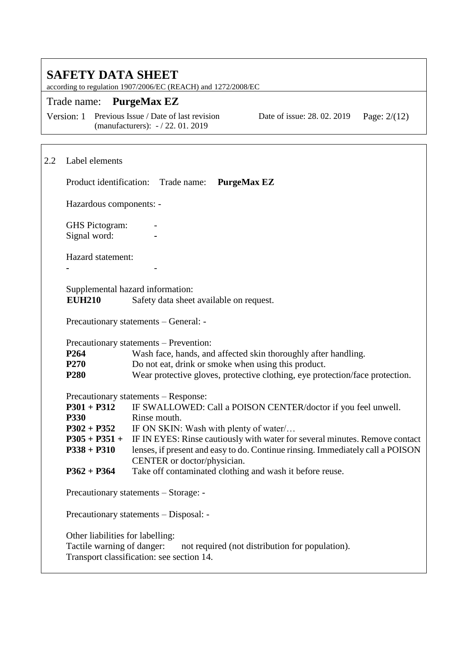according to regulation 1907/2006/EC (REACH) and 1272/2008/EC

#### Trade name: **PurgeMax EZ**

Version: 1 Previous Issue / Date of last revision (manufacturers): - / 22. 01. 2019

Date of issue: 28. 02. 2019 Page: 2/(12)

# 2.2 Label elements Product identification: Trade name: **PurgeMax EZ** Hazardous components: - **GHS** Pictogram: Signal word: **-** Hazard statement: **-** - Supplemental hazard information:<br>EUH210 Safety data sheet Safety data sheet available on request. Precautionary statements – General: - Precautionary statements – Prevention: **P264** Wash face, hands, and affected skin thoroughly after handling. **P270** Do not eat, drink or smoke when using this product. **P280** Wear protective gloves, protective clothing, eye protection/face protection. Precautionary statements – Response: **P301 + P312** IF SWALLOWED: Call a POISON CENTER/doctor if you feel unwell. **P330** Rinse mouth. **P302 + P352** IF ON SKIN: Wash with plenty of water/… **P305 + P351 + P338 + P310** IF IN EYES: Rinse cautiously with water for several minutes. Remove contact lenses, if present and easy to do. Continue rinsing. Immediately call a POISON CENTER or doctor/physician. **P362 + P364** Take off contaminated clothing and wash it before reuse. Precautionary statements – Storage: - Precautionary statements – Disposal: - Other liabilities for labelling: Tactile warning of danger: not required (not distribution for population). Transport classification: see section 14.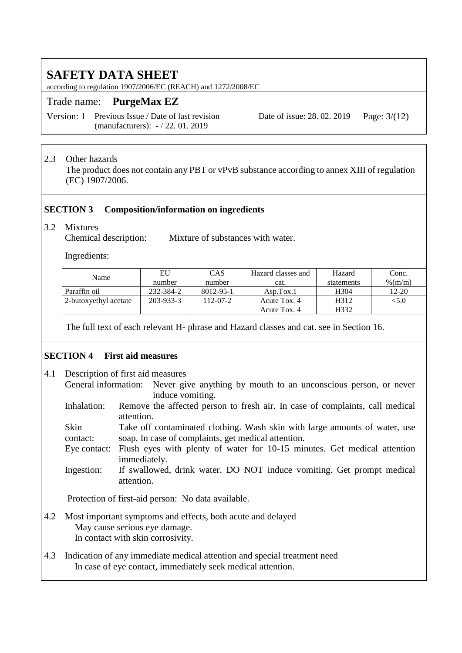according to regulation 1907/2006/EC (REACH) and 1272/2008/EC

## Trade name: **PurgeMax EZ**

Version: 1 Previous Issue / Date of last revision (manufacturers): - / 22. 01. 2019

Date of issue: 28. 02. 2019 Page: 3/(12)

## 2.3 Other hazards

The product does not contain any PBT or vPvB substance according to annex XIII of regulation (EC) 1907/2006.

#### **SECTION 3 Composition/information on ingredients**

#### 3.2 Mixtures

Chemical description: Mixture of substances with water.

Ingredients:

| Name                  | EU        | CAS       | Hazard classes and | Hazard     | Conc.      |
|-----------------------|-----------|-----------|--------------------|------------|------------|
|                       | number    | number    | cat.               | statements | $\%$ (m/m) |
| Paraffin oil          | 232-384-2 | 8012-95-1 | Asp.Tox.1          | H304       | 12-20      |
| 2-butoxyethyl acetate | 203-933-3 | 112-07-2  | Acute Tox. 4       | H312       | < 5.0      |
|                       |           |           | Acute Tox. 4       | H332       |            |

The full text of each relevant H- phrase and Hazard classes and cat. see in Section 16.

### **SECTION 4 First aid measures**

- 4.1 Description of first aid measures General information: Never give anything by mouth to an unconscious person, or never induce vomiting.
	- Inhalation: Remove the affected person to fresh air. In case of complaints, call medical attention.

Skin contact: Take off contaminated clothing. Wash skin with large amounts of water, use soap. In case of complaints, get medical attention.

Eye contact: Flush eyes with plenty of water for 10-15 minutes. Get medical attention immediately.

Ingestion: If swallowed, drink water. DO NOT induce vomiting. Get prompt medical attention.

Protection of first-aid person: No data available.

- 4.2 Most important symptoms and effects, both acute and delayed May cause serious eye damage. In contact with skin corrosivity.
- 4.3 Indication of any immediate medical attention and special treatment need In case of eye contact, immediately seek medical attention.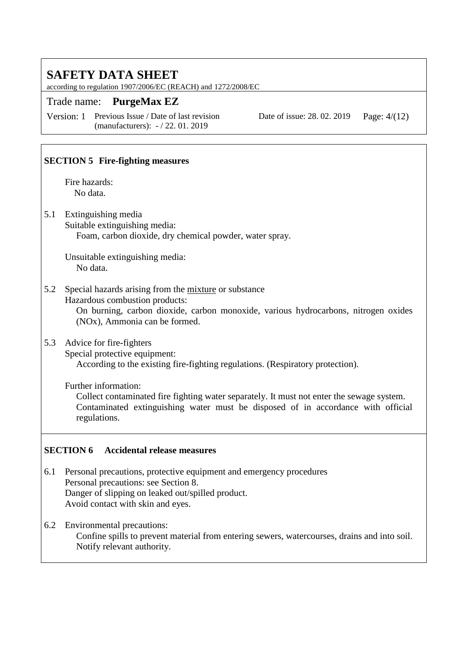according to regulation 1907/2006/EC (REACH) and 1272/2008/EC

## Trade name: **PurgeMax EZ**

Version: 1 Previous Issue / Date of last revision (manufacturers): - / 22. 01. 2019

Date of issue: 28. 02. 2019 Page: 4/(12)

### **SECTION 5 Fire-fighting measures**

Fire hazards: No data.

5.1 Extinguishing media

Suitable extinguishing media: Foam, carbon dioxide, dry chemical powder, water spray.

Unsuitable extinguishing media: No data.

5.2 Special hazards arising from the mixture or substance Hazardous combustion products:

> On burning, carbon dioxide, carbon monoxide, various hydrocarbons, nitrogen oxides (NOx), Ammonia can be formed.

### 5.3 Advice for fire-fighters

Special protective equipment:

According to the existing fire-fighting regulations. (Respiratory protection).

Further information:

Collect contaminated fire fighting water separately. It must not enter the sewage system. Contaminated extinguishing water must be disposed of in accordance with official regulations.

#### **SECTION 6 Accidental release measures**

- 6.1 Personal precautions, protective equipment and emergency procedures Personal precautions: see Section 8. Danger of slipping on leaked out/spilled product. Avoid contact with skin and eyes.
- 6.2 Environmental precautions: Confine spills to prevent material from entering sewers, watercourses, drains and into soil. Notify relevant authority.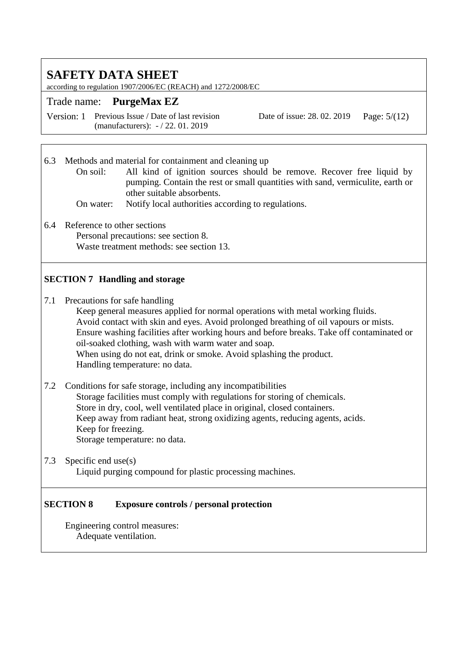according to regulation 1907/2006/EC (REACH) and 1272/2008/EC

## Trade name: **PurgeMax EZ**

Version: 1 Previous Issue / Date of last revision (manufacturers): - / 22. 01. 2019

Date of issue: 28. 02. 2019 Page:  $5/(12)$ 

6.3 Methods and material for containment and cleaning up

On soil: All kind of ignition sources should be remove. Recover free liquid by pumping. Contain the rest or small quantities with sand, vermiculite, earth or other suitable absorbents.

- On water: Notify local authorities according to regulations.
- 6.4 Reference to other sections Personal precautions: see section 8. Waste treatment methods: see section 13.

## **SECTION 7 Handling and storage**

7.1 Precautions for safe handling

Keep general measures applied for normal operations with metal working fluids. Avoid contact with skin and eyes. Avoid prolonged breathing of oil vapours or mists. Ensure washing facilities after working hours and before breaks. Take off contaminated or oil-soaked clothing, wash with warm water and soap. When using do not eat, drink or smoke. Avoid splashing the product. Handling temperature: no data.

- 7.2 Conditions for safe storage, including any incompatibilities Storage facilities must comply with regulations for storing of chemicals. Store in dry, cool, well ventilated place in original, closed containers. Keep away from radiant heat, strong oxidizing agents, reducing agents, acids. Keep for freezing. Storage temperature: no data.
- 7.3 Specific end use(s) Liquid purging compound for plastic processing machines.

#### **SECTION 8 Exposure controls / personal protection**

Engineering control measures: Adequate ventilation.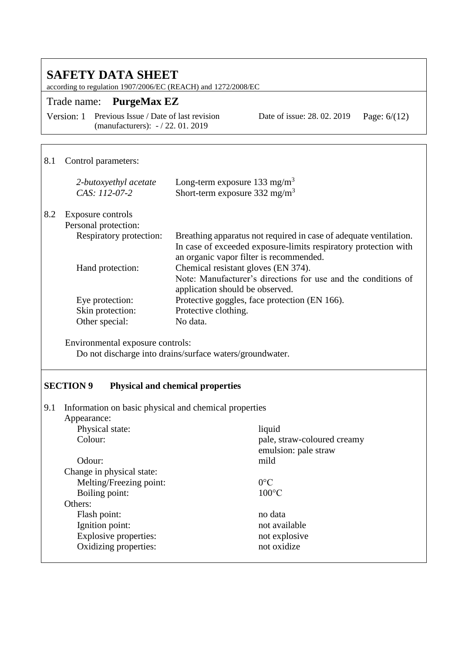according to regulation 1907/2006/EC (REACH) and 1272/2008/EC

## Trade name: **PurgeMax EZ**

Version: 1 Previous Issue / Date of last revision (manufacturers): - / 22. 01. 2019

Date of issue: 28. 02. 2019 Page: 6/(12)

## 8.1 Control parameters:

|     | 2-butoxyethyl acetate<br>$CAS: 112-07-2$  | Long-term exposure 133 mg/m <sup>3</sup><br>Short-term exposure $332 \text{ mg/m}^3$                                                    |
|-----|-------------------------------------------|-----------------------------------------------------------------------------------------------------------------------------------------|
| 8.2 | Exposure controls<br>Personal protection: |                                                                                                                                         |
|     | Respiratory protection:                   | Breathing apparatus not required in case of adequate ventilation.<br>In case of exceeded exposure-limits respiratory protection with    |
|     |                                           | an organic vapor filter is recommended.                                                                                                 |
|     | Hand protection:                          | Chemical resistant gloves (EN 374).<br>Note: Manufacturer's directions for use and the conditions of<br>application should be observed. |
|     | Eye protection:                           | Protective goggles, face protection (EN 166).                                                                                           |
|     | Skin protection:                          | Protective clothing.                                                                                                                    |
|     | Other special:                            | No data.                                                                                                                                |

Environmental exposure controls: Do not discharge into drains/surface waters/groundwater.

#### **SECTION 9 Physical and chemical properties**

| 9.1                       | Information on basic physical and chemical properties |  |  |
|---------------------------|-------------------------------------------------------|--|--|
| Appearance:               |                                                       |  |  |
| Physical state:           | liquid                                                |  |  |
| Colour:                   | pale, straw-coloured creamy                           |  |  |
|                           | emulsion: pale straw                                  |  |  |
| Odour:                    | mild                                                  |  |  |
| Change in physical state: |                                                       |  |  |
| Melting/Freezing point:   | $0^{\circ}C$                                          |  |  |
| Boiling point:            | $100^{\circ}$ C                                       |  |  |
| Others:                   |                                                       |  |  |
| Flash point:              | no data                                               |  |  |
| Ignition point:           | not available                                         |  |  |
| Explosive properties:     | not explosive                                         |  |  |
| Oxidizing properties:     | not oxidize                                           |  |  |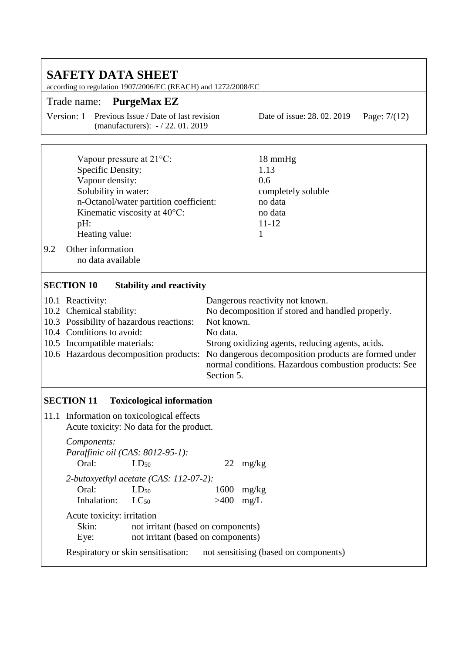| <b>SAFETY DATA SHEET</b><br>according to regulation 1907/2006/EC (REACH) and 1272/2008/EC |                                                                                                                                                                                                                                                                                                                                                                                                                              |                                                                                      |  |  |  |
|-------------------------------------------------------------------------------------------|------------------------------------------------------------------------------------------------------------------------------------------------------------------------------------------------------------------------------------------------------------------------------------------------------------------------------------------------------------------------------------------------------------------------------|--------------------------------------------------------------------------------------|--|--|--|
|                                                                                           | <b>PurgeMax EZ</b><br>Trade name:                                                                                                                                                                                                                                                                                                                                                                                            |                                                                                      |  |  |  |
|                                                                                           | Version: 1<br>Previous Issue / Date of last revision<br>(manufacturers): -/22.01.2019                                                                                                                                                                                                                                                                                                                                        | Date of issue: 28.02.2019<br>Page: $7/(12)$                                          |  |  |  |
| 9.2                                                                                       | Vapour pressure at $21^{\circ}$ C:<br>Specific Density:<br>Vapour density:<br>Solubility in water:<br>n-Octanol/water partition coefficient:<br>Kinematic viscosity at 40°C:<br>pH:<br>Heating value:<br>Other information<br>no data available                                                                                                                                                                              | 18 mmHg<br>1.13<br>0.6<br>completely soluble<br>no data<br>no data<br>$11 - 12$<br>1 |  |  |  |
|                                                                                           | <b>SECTION 10</b><br><b>Stability and reactivity</b><br>Dangerous reactivity not known.<br>10.1 Reactivity:<br>10.2 Chemical stability:<br>No decomposition if stored and handled properly.<br>10.3 Possibility of hazardous reactions:<br>Not known.<br>10.4 Conditions to avoid:<br>No data.<br>10.5 Incompatible materials:<br>Strong oxidizing agents, reducing agents, acids.<br>10.6 Hazardous decomposition products: |                                                                                      |  |  |  |
|                                                                                           | No dangerous decomposition products are formed under<br>normal conditions. Hazardous combustion products: See<br>Section 5.                                                                                                                                                                                                                                                                                                  |                                                                                      |  |  |  |
|                                                                                           | <b>SECTION 11</b><br><b>Toxicological information</b>                                                                                                                                                                                                                                                                                                                                                                        |                                                                                      |  |  |  |
|                                                                                           | 11.1 Information on toxicological effects<br>Acute toxicity: No data for the product.                                                                                                                                                                                                                                                                                                                                        |                                                                                      |  |  |  |
|                                                                                           | Components:<br>Paraffinic oil (CAS: 8012-95-1):<br>Oral:<br>$LD_{50}$                                                                                                                                                                                                                                                                                                                                                        | $22 \text{ mg/kg}$                                                                   |  |  |  |
|                                                                                           | 2-butoxyethyl acetate (CAS: 112-07-2):<br>Oral:<br>$LD_{50}$<br>Inhalation:<br>$LC_{50}$                                                                                                                                                                                                                                                                                                                                     | 1600<br>mg/kg<br>>400<br>mg/L                                                        |  |  |  |
|                                                                                           | Acute toxicity: irritation<br>Skin:<br>not irritant (based on components)<br>not irritant (based on components)<br>Eye:                                                                                                                                                                                                                                                                                                      |                                                                                      |  |  |  |
|                                                                                           | Respiratory or skin sensitisation:                                                                                                                                                                                                                                                                                                                                                                                           | not sensitising (based on components)                                                |  |  |  |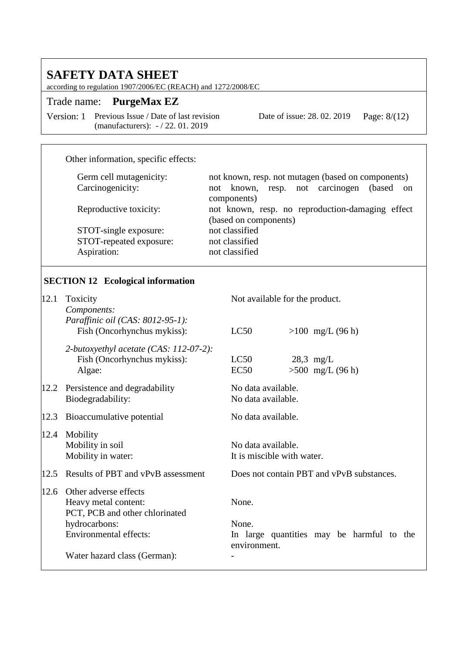according to regulation 1907/2006/EC (REACH) and 1272/2008/EC

## Trade name: **PurgeMax EZ**

Version: 1 Previous Issue / Date of last revision (manufacturers): - / 22. 01. 2019

Date of issue: 28. 02. 2019 Page: 8/(12)

### Other information, specific effects:

| Germ cell mutagenicity: | not known, resp. not mutagen (based on components)        |  |  |  |
|-------------------------|-----------------------------------------------------------|--|--|--|
| Carcinogenicity:        | known, resp. not carcinogen<br>(based)<br>not<br>$\alpha$ |  |  |  |
|                         | components)                                               |  |  |  |
| Reproductive toxicity:  | not known, resp. no reproduction-damaging effect          |  |  |  |
|                         | (based on components)                                     |  |  |  |
| STOT-single exposure:   | not classified                                            |  |  |  |
| STOT-repeated exposure: | not classified                                            |  |  |  |
| Aspiration:             | not classified                                            |  |  |  |

## **SECTION 12 Ecological information**

| 12.1 | Toxicity<br>Components:                                                                          | Not available for the product.                    |  |  |
|------|--------------------------------------------------------------------------------------------------|---------------------------------------------------|--|--|
|      | Paraffinic oil (CAS: 8012-95-1):<br>Fish (Oncorhynchus mykiss):                                  | LC50<br>$>100$ mg/L (96 h)                        |  |  |
|      | 2-butoxyethyl acetate (CAS: 112-07-2):<br>Fish (Oncorhynchus mykiss):<br>Algae:                  | LC50<br>$28.3$ mg/L<br>$>500$ mg/L (96 h)<br>EC50 |  |  |
| 12.2 | Persistence and degradability<br>Biodegradability:                                               | No data available.<br>No data available.          |  |  |
| 12.3 | Bioaccumulative potential                                                                        | No data available.                                |  |  |
| 12.4 | Mobility<br>Mobility in soil<br>Mobility in water:                                               | No data available.<br>It is miscible with water.  |  |  |
| 12.5 | Results of PBT and vPvB assessment                                                               | Does not contain PBT and vPvB substances.         |  |  |
| 12.6 | Other adverse effects<br>Heavy metal content:<br>PCT, PCB and other chlorinated<br>hydrocarbons: | None.<br>None.                                    |  |  |
|      | Environmental effects:                                                                           | In large quantities may be harmful to the         |  |  |
|      | Water hazard class (German):                                                                     | environment.                                      |  |  |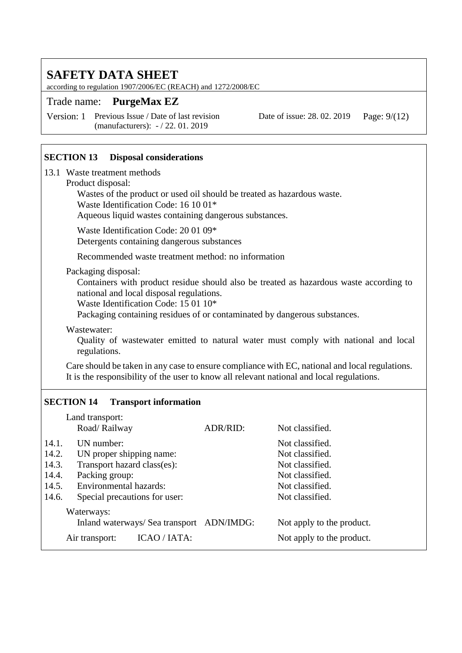according to regulation 1907/2006/EC (REACH) and 1272/2008/EC

### Trade name: **PurgeMax EZ**

Version: 1 Previous Issue / Date of last revision (manufacturers): - / 22. 01. 2019

Date of issue: 28. 02. 2019 Page: 9/(12)

#### **SECTION 13 Disposal considerations**

13.1 Waste treatment methods

#### Product disposal:

Wastes of the product or used oil should be treated as hazardous waste.

Waste Identification Code: 16 10 01\*

Aqueous liquid wastes containing dangerous substances.

Waste Identification Code: 20 01 09\* Detergents containing dangerous substances

Recommended waste treatment method: no information

#### Packaging disposal:

Containers with product residue should also be treated as hazardous waste according to national and local disposal regulations.

Waste Identification Code: 15 01 10\*

Packaging containing residues of or contaminated by dangerous substances.

Wastewater:

Quality of wastewater emitted to natural water must comply with national and local regulations.

Care should be taken in any case to ensure compliance with EC, national and local regulations. It is the responsibility of the user to know all relevant national and local regulations.

#### **SECTION 14 Transport information**

|       | Land transport:                           |          |                           |  |  |
|-------|-------------------------------------------|----------|---------------------------|--|--|
|       | Road/Railway                              | ADR/RID: | Not classified.           |  |  |
| 14.1. | UN number:                                |          | Not classified.           |  |  |
| 14.2. | UN proper shipping name:                  |          | Not classified.           |  |  |
| 14.3. | Transport hazard class(es):               |          | Not classified.           |  |  |
| 14.4. | Packing group:                            |          | Not classified.           |  |  |
| 14.5. | Environmental hazards:                    |          | Not classified.           |  |  |
| 14.6. | Special precautions for user:             |          | Not classified.           |  |  |
|       | Waterways:                                |          |                           |  |  |
|       | Inland waterways/ Sea transport ADN/IMDG: |          | Not apply to the product. |  |  |
|       | ICAO / IATA:<br>Air transport:            |          | Not apply to the product. |  |  |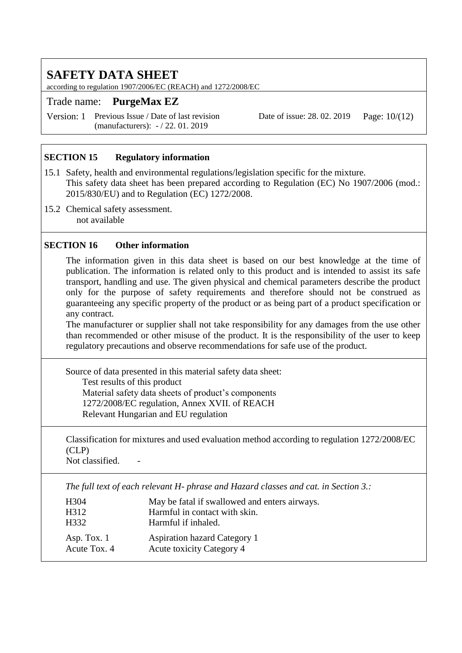according to regulation 1907/2006/EC (REACH) and 1272/2008/EC

## Trade name: **PurgeMax EZ**

Version: 1 Previous Issue / Date of last revision (manufacturers): - / 22. 01. 2019

Date of issue: 28. 02. 2019 Page: 10/(12)

## **SECTION 15 Regulatory information**

- 15.1 Safety, health and environmental regulations/legislation specific for the mixture. This safety data sheet has been prepared according to Regulation (EC) No 1907/2006 (mod.: 2015/830/EU) and to Regulation (EC) 1272/2008.
- 15.2 Chemical safety assessment. not available

#### **SECTION 16 Other information**

The information given in this data sheet is based on our best knowledge at the time of publication. The information is related only to this product and is intended to assist its safe transport, handling and use. The given physical and chemical parameters describe the product only for the purpose of safety requirements and therefore should not be construed as guaranteeing any specific property of the product or as being part of a product specification or any contract.

The manufacturer or supplier shall not take responsibility for any damages from the use other than recommended or other misuse of the product. It is the responsibility of the user to keep regulatory precautions and observe recommendations for safe use of the product.

Source of data presented in this material safety data sheet: Test results of this product Material safety data sheets of product's components 1272/2008/EC regulation, Annex XVII. of REACH Relevant Hungarian and EU regulation

Classification for mixtures and used evaluation method according to regulation 1272/2008/EC (CLP)

Not classified.

*The full text of each relevant H- phrase and Hazard classes and cat. in Section 3.:*

| H <sub>304</sub>              | May be fatal if swallowed and enters airways.                           |
|-------------------------------|-------------------------------------------------------------------------|
| H312                          | Harmful in contact with skin.                                           |
| H <sub>332</sub>              | Harmful if inhaled.                                                     |
| Asp. Tox. $1$<br>Acute Tox. 4 | <b>Aspiration hazard Category 1</b><br><b>Acute toxicity Category 4</b> |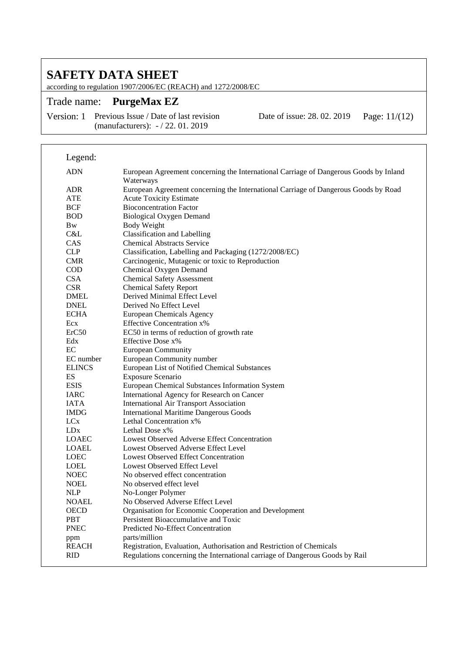according to regulation 1907/2006/EC (REACH) and 1272/2008/EC

## Trade name: **PurgeMax EZ**

Version: 1 Previous Issue / Date of last revision (manufacturers): - / 22. 01. 2019

Date of issue: 28. 02. 2019 Page: 11/(12)

| Legend:                    |                                                                                                    |
|----------------------------|----------------------------------------------------------------------------------------------------|
| <b>ADN</b>                 | European Agreement concerning the International Carriage of Dangerous Goods by Inland<br>Waterways |
| <b>ADR</b>                 | European Agreement concerning the International Carriage of Dangerous Goods by Road                |
| <b>ATE</b>                 | <b>Acute Toxicity Estimate</b>                                                                     |
| <b>BCF</b>                 | <b>Bioconcentration Factor</b>                                                                     |
| <b>BOD</b>                 | <b>Biological Oxygen Demand</b>                                                                    |
| <b>B</b> w                 | <b>Body Weight</b>                                                                                 |
| C&L                        | <b>Classification and Labelling</b>                                                                |
| CAS                        | <b>Chemical Abstracts Service</b>                                                                  |
| <b>CLP</b>                 | Classification, Labelling and Packaging (1272/2008/EC)                                             |
| <b>CMR</b>                 | Carcinogenic, Mutagenic or toxic to Reproduction                                                   |
| COD                        | Chemical Oxygen Demand                                                                             |
| <b>CSA</b>                 | <b>Chemical Safety Assessment</b>                                                                  |
| <b>CSR</b>                 | <b>Chemical Safety Report</b>                                                                      |
| <b>DMEL</b>                | Derived Minimal Effect Level                                                                       |
| <b>DNEL</b>                | Derived No Effect Level                                                                            |
| <b>ECHA</b>                | European Chemicals Agency                                                                          |
| Ecx                        | <b>Effective Concentration x%</b>                                                                  |
| ErC50                      | EC50 in terms of reduction of growth rate                                                          |
| Edx                        | Effective Dose x%                                                                                  |
| EC                         | <b>European Community</b>                                                                          |
| EC number                  | European Community number                                                                          |
| <b>ELINCS</b>              | European List of Notified Chemical Substances                                                      |
| ES                         | <b>Exposure Scenario</b>                                                                           |
| <b>ESIS</b>                | European Chemical Substances Information System                                                    |
| <b>IARC</b>                | International Agency for Research on Cancer                                                        |
| <b>IATA</b>                | <b>International Air Transport Association</b>                                                     |
| <b>IMDG</b>                | <b>International Maritime Dangerous Goods</b>                                                      |
| <b>LC</b> <sub>x</sub>     | Lethal Concentration x%                                                                            |
| LD <sub>x</sub>            | Lethal Dose $x\%$                                                                                  |
| <b>LOAEC</b>               | Lowest Observed Adverse Effect Concentration                                                       |
| <b>LOAEL</b>               | Lowest Observed Adverse Effect Level                                                               |
| <b>LOEC</b>                | <b>Lowest Observed Effect Concentration</b>                                                        |
| LOEL                       | Lowest Observed Effect Level                                                                       |
| <b>NOEC</b>                | No observed effect concentration<br>No observed effect level                                       |
| <b>NOEL</b>                |                                                                                                    |
| <b>NLP</b><br><b>NOAEL</b> | No-Longer Polymer<br>No Observed Adverse Effect Level                                              |
| <b>OECD</b>                | Organisation for Economic Cooperation and Development                                              |
| PBT                        | Persistent Bioaccumulative and Toxic                                                               |
| <b>PNEC</b>                | Predicted No-Effect Concentration                                                                  |
|                            | parts/million                                                                                      |
| ppm<br><b>REACH</b>        | Registration, Evaluation, Authorisation and Restriction of Chemicals                               |
| <b>RID</b>                 | Regulations concerning the International carriage of Dangerous Goods by Rail                       |
|                            |                                                                                                    |